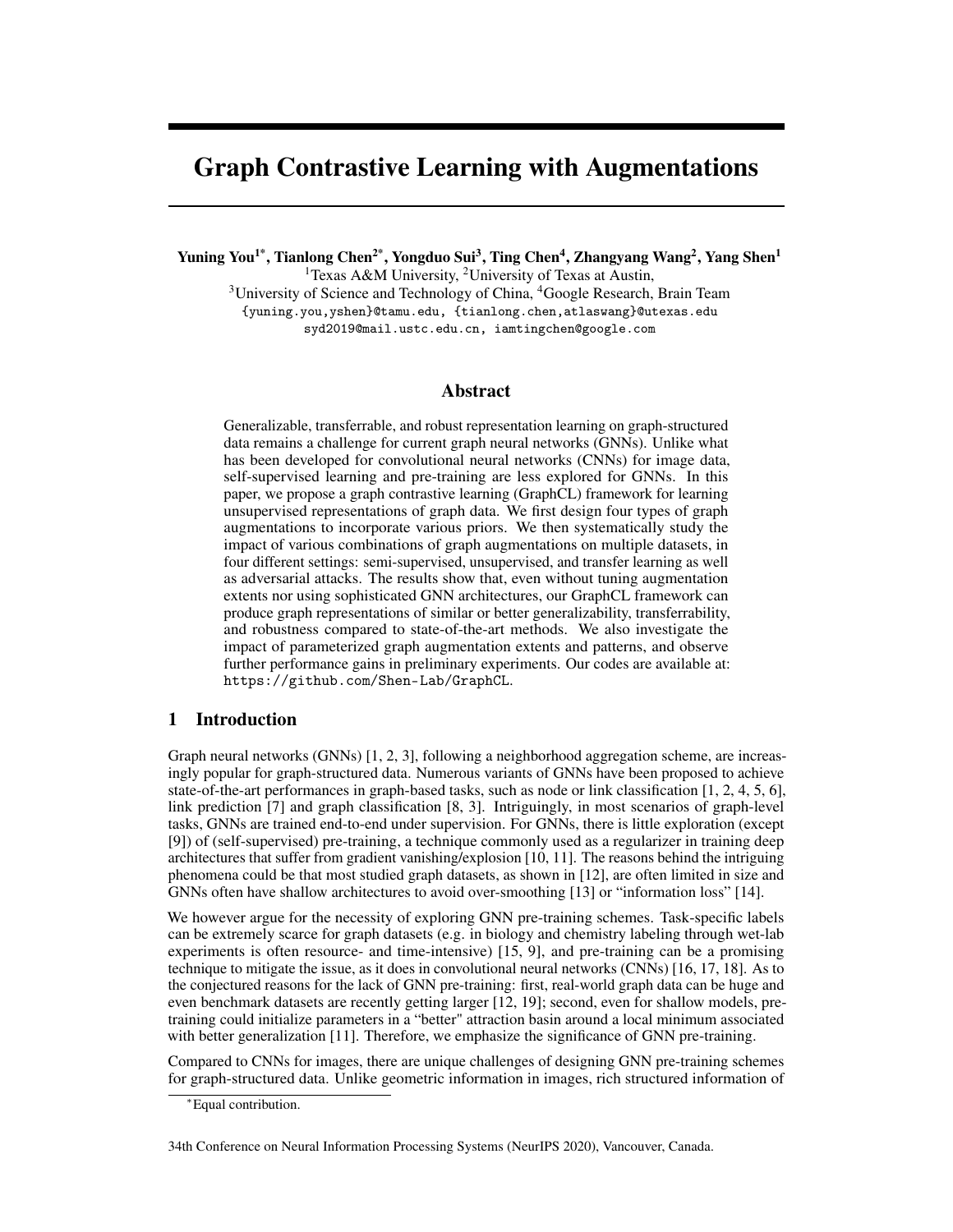# Graph Contrastive Learning with Augmentations

Yuning You<sup>1\*</sup>, Tianlong Chen<sup>2\*</sup>, Yongduo Sui<sup>3</sup>, Ting Chen<sup>4</sup>, Zhangyang Wang<sup>2</sup>, Yang Shen<sup>1</sup>

<sup>1</sup>Texas A&M University, <sup>2</sup>University of Texas at Austin,

 $3$ University of Science and Technology of China,  $4$ Google Research, Brain Team {yuning.you,yshen}@tamu.edu, {tianlong.chen,atlaswang}@utexas.edu syd2019@mail.ustc.edu.cn, iamtingchen@google.com

# Abstract

Generalizable, transferrable, and robust representation learning on graph-structured data remains a challenge for current graph neural networks (GNNs). Unlike what has been developed for convolutional neural networks (CNNs) for image data, self-supervised learning and pre-training are less explored for GNNs. In this paper, we propose a graph contrastive learning (GraphCL) framework for learning unsupervised representations of graph data. We first design four types of graph augmentations to incorporate various priors. We then systematically study the impact of various combinations of graph augmentations on multiple datasets, in four different settings: semi-supervised, unsupervised, and transfer learning as well as adversarial attacks. The results show that, even without tuning augmentation extents nor using sophisticated GNN architectures, our GraphCL framework can produce graph representations of similar or better generalizability, transferrability, and robustness compared to state-of-the-art methods. We also investigate the impact of parameterized graph augmentation extents and patterns, and observe further performance gains in preliminary experiments. Our codes are available at: <https://github.com/Shen-Lab/GraphCL>.

# <span id="page-0-0"></span>1 Introduction

Graph neural networks (GNNs) [\[1,](#page-8-0) [2,](#page-8-1) [3\]](#page-8-2), following a neighborhood aggregation scheme, are increasingly popular for graph-structured data. Numerous variants of GNNs have been proposed to achieve state-of-the-art performances in graph-based tasks, such as node or link classification [\[1,](#page-8-0) [2,](#page-8-1) [4,](#page-9-0) [5,](#page-9-1) [6\]](#page-9-2), link prediction [\[7\]](#page-9-3) and graph classification [\[8,](#page-9-4) [3\]](#page-8-2). Intriguingly, in most scenarios of graph-level tasks, GNNs are trained end-to-end under supervision. For GNNs, there is little exploration (except [\[9\]](#page-9-5)) of (self-supervised) pre-training, a technique commonly used as a regularizer in training deep architectures that suffer from gradient vanishing/explosion [\[10,](#page-9-6) [11\]](#page-9-7). The reasons behind the intriguing phenomena could be that most studied graph datasets, as shown in [\[12\]](#page-9-8), are often limited in size and GNNs often have shallow architectures to avoid over-smoothing [\[13\]](#page-9-9) or "information loss" [\[14\]](#page-9-10).

We however argue for the necessity of exploring GNN pre-training schemes. Task-specific labels can be extremely scarce for graph datasets (e.g. in biology and chemistry labeling through wet-lab experiments is often resource- and time-intensive) [\[15,](#page-9-11) [9\]](#page-9-5), and pre-training can be a promising technique to mitigate the issue, as it does in convolutional neural networks (CNNs) [\[16,](#page-9-12) [17,](#page-9-13) [18\]](#page-9-14). As to the conjectured reasons for the lack of GNN pre-training: first, real-world graph data can be huge and even benchmark datasets are recently getting larger [\[12,](#page-9-8) [19\]](#page-9-15); second, even for shallow models, pretraining could initialize parameters in a "better" attraction basin around a local minimum associated with better generalization [\[11\]](#page-9-7). Therefore, we emphasize the significance of GNN pre-training.

Compared to CNNs for images, there are unique challenges of designing GNN pre-training schemes for graph-structured data. Unlike geometric information in images, rich structured information of

<sup>∗</sup>Equal contribution.

<sup>34</sup>th Conference on Neural Information Processing Systems (NeurIPS 2020), Vancouver, Canada.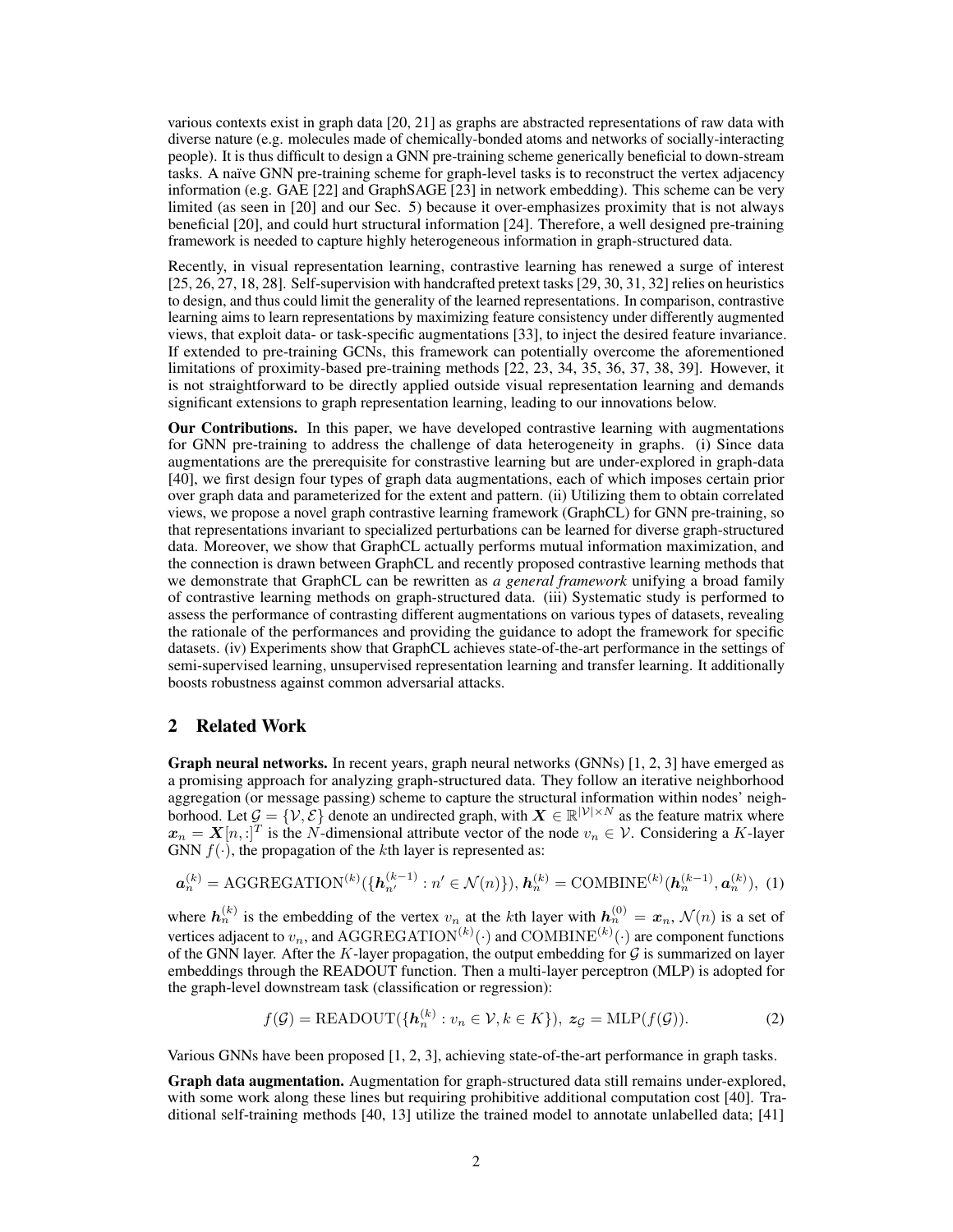various contexts exist in graph data [\[20,](#page-9-16) [21\]](#page-9-17) as graphs are abstracted representations of raw data with diverse nature (e.g. molecules made of chemically-bonded atoms and networks of socially-interacting people). It is thus difficult to design a GNN pre-training scheme generically beneficial to down-stream tasks. A naïve GNN pre-training scheme for graph-level tasks is to reconstruct the vertex adjacency information (e.g. GAE [\[22\]](#page-9-18) and GraphSAGE [\[23\]](#page-9-19) in network embedding). This scheme can be very limited (as seen in [\[20\]](#page-9-16) and our Sec. [5\)](#page-7-0) because it over-emphasizes proximity that is not always beneficial [\[20\]](#page-9-16), and could hurt structural information [\[24\]](#page-9-20). Therefore, a well designed pre-training framework is needed to capture highly heterogeneous information in graph-structured data.

Recently, in visual representation learning, contrastive learning has renewed a surge of interest [\[25,](#page-9-21) [26,](#page-9-22) [27,](#page-10-0) [18,](#page-9-14) [28\]](#page-10-1). Self-supervision with handcrafted pretext tasks [\[29,](#page-10-2) [30,](#page-10-3) [31,](#page-10-4) [32\]](#page-10-5) relies on heuristics to design, and thus could limit the generality of the learned representations. In comparison, contrastive learning aims to learn representations by maximizing feature consistency under differently augmented views, that exploit data- or task-specific augmentations [\[33\]](#page-10-6), to inject the desired feature invariance. If extended to pre-training GCNs, this framework can potentially overcome the aforementioned limitations of proximity-based pre-training methods [\[22,](#page-9-18) [23,](#page-9-19) [34,](#page-10-7) [35,](#page-10-8) [36,](#page-10-9) [37,](#page-10-10) [38,](#page-10-11) [39\]](#page-10-12). However, it is not straightforward to be directly applied outside visual representation learning and demands significant extensions to graph representation learning, leading to our innovations below.

Our Contributions. In this paper, we have developed contrastive learning with augmentations for GNN pre-training to address the challenge of data heterogeneity in graphs. (i) Since data augmentations are the prerequisite for constrastive learning but are under-explored in graph-data [\[40\]](#page-10-13), we first design four types of graph data augmentations, each of which imposes certain prior over graph data and parameterized for the extent and pattern. (ii) Utilizing them to obtain correlated views, we propose a novel graph contrastive learning framework (GraphCL) for GNN pre-training, so that representations invariant to specialized perturbations can be learned for diverse graph-structured data. Moreover, we show that GraphCL actually performs mutual information maximization, and the connection is drawn between GraphCL and recently proposed contrastive learning methods that we demonstrate that GraphCL can be rewritten as *a general framework* unifying a broad family of contrastive learning methods on graph-structured data. (iii) Systematic study is performed to assess the performance of contrasting different augmentations on various types of datasets, revealing the rationale of the performances and providing the guidance to adopt the framework for specific datasets. (iv) Experiments show that GraphCL achieves state-of-the-art performance in the settings of semi-supervised learning, unsupervised representation learning and transfer learning. It additionally boosts robustness against common adversarial attacks.

# <span id="page-1-0"></span>2 Related Work

Graph neural networks. In recent years, graph neural networks (GNNs) [\[1,](#page-8-0) [2,](#page-8-1) [3\]](#page-8-2) have emerged as a promising approach for analyzing graph-structured data. They follow an iterative neighborhood aggregation (or message passing) scheme to capture the structural information within nodes' neighborhood. Let  $\mathcal{G} = \{V, \mathcal{E}\}\$  denote an undirected graph, with  $X \in \mathbb{R}^{|V| \times N}$  as the feature matrix where  $x_n = X[n, :]^T$  is the N-dimensional attribute vector of the node  $v_n \in V$ . Considering a K-layer GNN  $f(\cdot)$ , the propagation of the kth layer is represented as:

$$
\mathbf{a}_n^{(k)} = \text{AGGREGATION}^{(k)}(\{\mathbf{h}_{n'}^{(k-1)} : n' \in \mathcal{N}(n)\}), \mathbf{h}_n^{(k)} = \text{COMBINE}^{(k)}(\mathbf{h}_n^{(k-1)}, \mathbf{a}_n^{(k)}), \tag{1}
$$

where  $h_n^{(k)}$  is the embedding of the vertex  $v_n$  at the kth layer with  $h_n^{(0)} = x_n$ ,  $\mathcal{N}(n)$  is a set of vertices adjacent to  $v_n$ , and AGGREGATION<sup>(k)</sup>(·) and COMBINE<sup>(k)</sup>(·) are component functions of the GNN layer. After the  $K$ -layer propagation, the output embedding for  $G$  is summarized on layer embeddings through the READOUT function. Then a multi-layer perceptron (MLP) is adopted for the graph-level downstream task (classification or regression):

$$
f(\mathcal{G}) = \text{READOUT}(\{\mathbf{h}_n^{(k)} : v_n \in \mathcal{V}, k \in K\}), \ z_{\mathcal{G}} = \text{MLP}(f(\mathcal{G})).
$$
 (2)

Various GNNs have been proposed [\[1,](#page-8-0) [2,](#page-8-1) [3\]](#page-8-2), achieving state-of-the-art performance in graph tasks.

<span id="page-1-1"></span> $\mathcal{L}$ 

Graph data augmentation. Augmentation for graph-structured data still remains under-explored, with some work along these lines but requiring prohibitive additional computation cost [\[40\]](#page-10-13). Traditional self-training methods [\[40,](#page-10-13) [13\]](#page-9-9) utilize the trained model to annotate unlabelled data; [\[41\]](#page-10-14)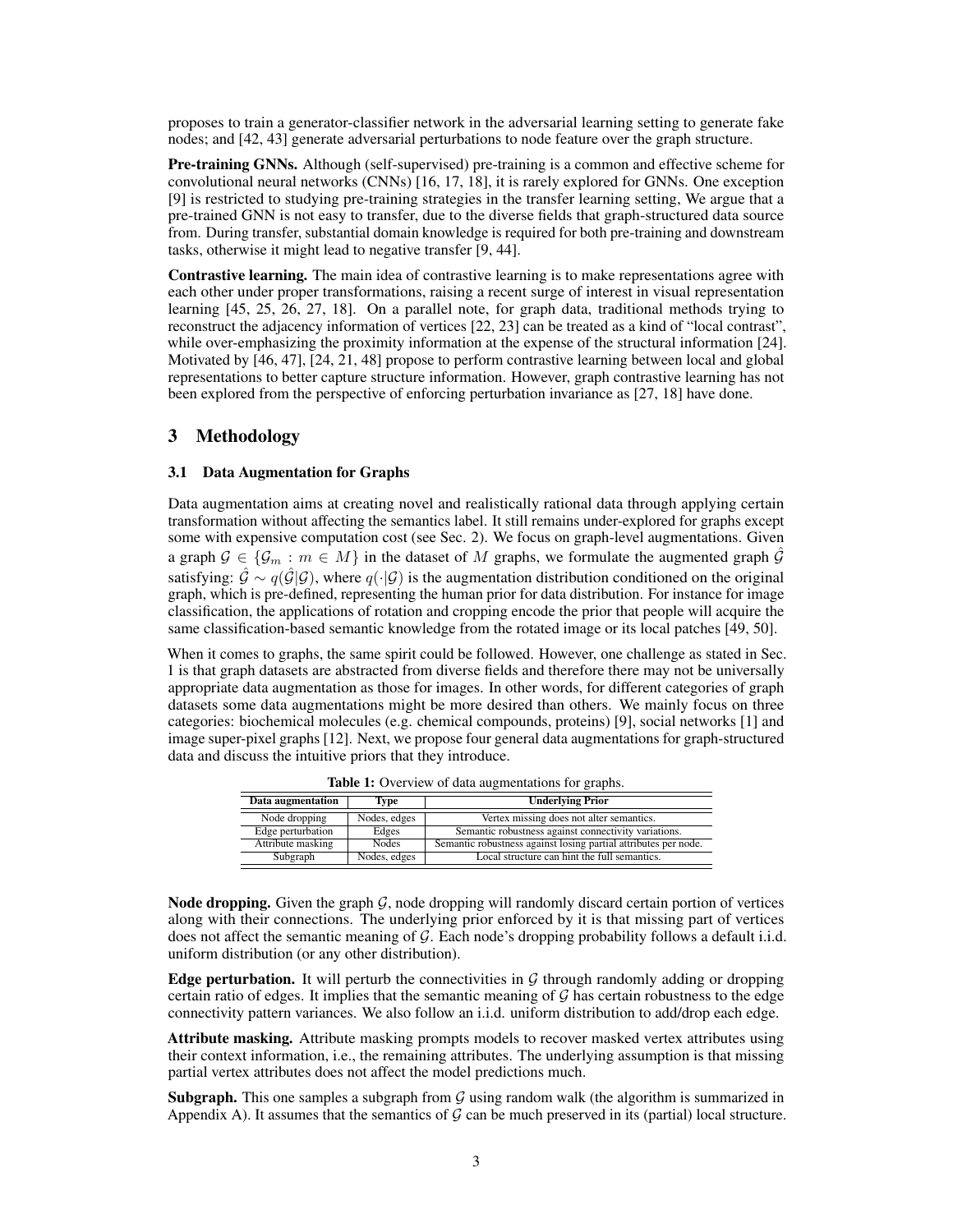proposes to train a generator-classifier network in the adversarial learning setting to generate fake nodes; and [\[42,](#page-10-15) [43\]](#page-10-16) generate adversarial perturbations to node feature over the graph structure.

Pre-training GNNs. Although (self-supervised) pre-training is a common and effective scheme for convolutional neural networks (CNNs) [\[16,](#page-9-12) [17,](#page-9-13) [18\]](#page-9-14), it is rarely explored for GNNs. One exception [\[9\]](#page-9-5) is restricted to studying pre-training strategies in the transfer learning setting, We argue that a pre-trained GNN is not easy to transfer, due to the diverse fields that graph-structured data source from. During transfer, substantial domain knowledge is required for both pre-training and downstream tasks, otherwise it might lead to negative transfer [\[9,](#page-9-5) [44\]](#page-10-17).

Contrastive learning. The main idea of contrastive learning is to make representations agree with each other under proper transformations, raising a recent surge of interest in visual representation learning [\[45,](#page-10-18) [25,](#page-9-21) [26,](#page-9-22) [27,](#page-10-0) [18\]](#page-9-14). On a parallel note, for graph data, traditional methods trying to reconstruct the adjacency information of vertices [\[22,](#page-9-18) [23\]](#page-9-19) can be treated as a kind of "local contrast", while over-emphasizing the proximity information at the expense of the structural information [\[24\]](#page-9-20). Motivated by [\[46,](#page-10-19) [47\]](#page-10-20), [\[24,](#page-9-20) [21,](#page-9-17) [48\]](#page-10-21) propose to perform contrastive learning between local and global representations to better capture structure information. However, graph contrastive learning has not been explored from the perspective of enforcing perturbation invariance as [\[27,](#page-10-0) [18\]](#page-9-14) have done.

# 3 Methodology

#### 3.1 Data Augmentation for Graphs

Data augmentation aims at creating novel and realistically rational data through applying certain transformation without affecting the semantics label. It still remains under-explored for graphs except some with expensive computation cost (see Sec. [2\)](#page-1-0). We focus on graph-level augmentations. Given a graph  $\mathcal{G} \in \{\mathcal{G}_m : m \in M\}$  in the dataset of M graphs, we formulate the augmented graph  $\hat{\mathcal{G}}$ satisfying:  $\hat{G} \sim q(\hat{G}|\mathcal{G})$ , where  $q(\cdot|\mathcal{G})$  is the augmentation distribution conditioned on the original graph, which is pre-defined, representing the human prior for data distribution. For instance for image classification, the applications of rotation and cropping encode the prior that people will acquire the same classification-based semantic knowledge from the rotated image or its local patches [\[49,](#page-10-22) [50\]](#page-10-23).

When it comes to graphs, the same spirit could be followed. However, one challenge as stated in Sec. [1](#page-0-0) is that graph datasets are abstracted from diverse fields and therefore there may not be universally appropriate data augmentation as those for images. In other words, for different categories of graph datasets some data augmentations might be more desired than others. We mainly focus on three categories: biochemical molecules (e.g. chemical compounds, proteins) [\[9\]](#page-9-5), social networks [\[1\]](#page-8-0) and image super-pixel graphs [\[12\]](#page-9-8). Next, we propose four general data augmentations for graph-structured data and discuss the intuitive priors that they introduce.

| Data augmentation                 | Type         | <b>Underlying Prior</b>                                         |
|-----------------------------------|--------------|-----------------------------------------------------------------|
| Node dropping                     | Nodes, edges | Vertex missing does not alter semantics.                        |
| Edge perturbation                 | Edges        | Semantic robustness against connectivity variations.            |
| Attribute masking<br><b>Nodes</b> |              | Semantic robustness against losing partial attributes per node. |
| Subgraph                          | Nodes, edges | Local structure can hint the full semantics.                    |

Table 1: Overview of data augmentations for graphs.

**Node dropping.** Given the graph  $\mathcal{G}$ , node dropping will randomly discard certain portion of vertices along with their connections. The underlying prior enforced by it is that missing part of vertices does not affect the semantic meaning of G. Each node's dropping probability follows a default i.i.d. uniform distribution (or any other distribution).

**Edge perturbation.** It will perturb the connectivities in  $\mathcal G$  through randomly adding or dropping certain ratio of edges. It implies that the semantic meaning of  $G$  has certain robustness to the edge connectivity pattern variances. We also follow an i.i.d. uniform distribution to add/drop each edge.

Attribute masking. Attribute masking prompts models to recover masked vertex attributes using their context information, i.e., the remaining attributes. The underlying assumption is that missing partial vertex attributes does not affect the model predictions much.

**Subgraph.** This one samples a subgraph from  $G$  using random walk (the algorithm is summarized in Appendix A). It assumes that the semantics of  $\mathcal G$  can be much preserved in its (partial) local structure.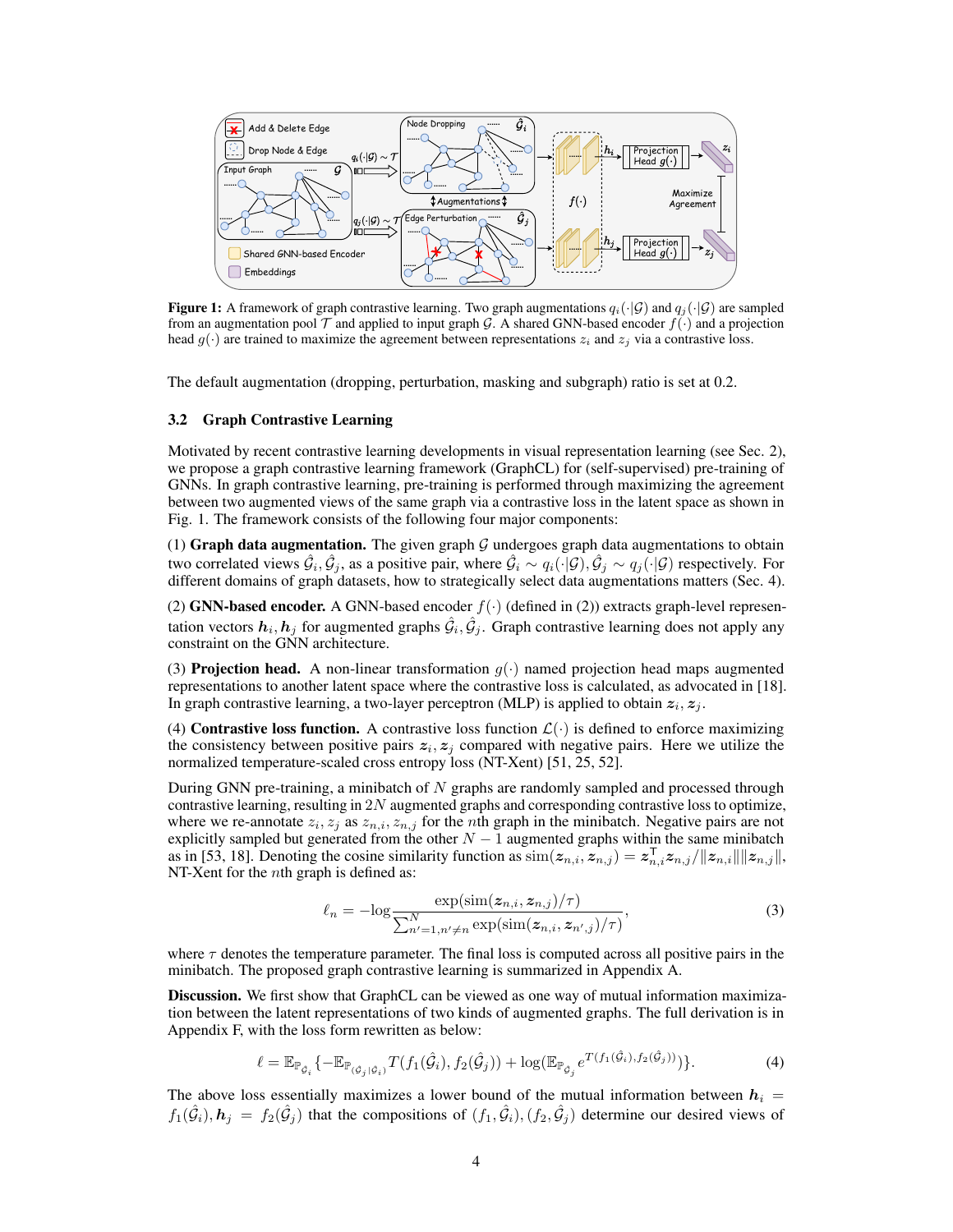<span id="page-3-0"></span>

**Figure 1:** A framework of graph contrastive learning. Two graph augmentations  $q_i(\cdot|\mathcal{G})$  and  $q_j(\cdot|\mathcal{G})$  are sampled from an augmentation pool  $\mathcal T$  and applied to input graph  $\mathcal G$ . A shared GNN-based encoder  $f(\cdot)$  and a projection head  $g(\cdot)$  are trained to maximize the agreement between representations  $z_i$  and  $z_j$  via a contrastive loss.

The default augmentation (dropping, perturbation, masking and subgraph) ratio is set at 0.2.

#### 3.2 Graph Contrastive Learning

Motivated by recent contrastive learning developments in visual representation learning (see Sec. [2\)](#page-1-0), we propose a graph contrastive learning framework (GraphCL) for (self-supervised) pre-training of GNNs. In graph contrastive learning, pre-training is performed through maximizing the agreement between two augmented views of the same graph via a contrastive loss in the latent space as shown in Fig. [1.](#page-3-0) The framework consists of the following four major components:

(1) Graph data augmentation. The given graph  $G$  undergoes graph data augmentations to obtain two correlated views  $\hat{G}_i, \hat{G}_j$ , as a positive pair, where  $\hat{G}_i \sim q_i(\cdot | \mathcal{G}), \hat{G}_j \sim q_j(\cdot | \mathcal{G})$  respectively. For different domains of graph datasets, how to strategically select data augmentations matters (Sec. [4\)](#page-4-0).

[\(2\)](#page-1-1) GNN-based encoder. A GNN-based encoder  $f(\cdot)$  (defined in (2)) extracts graph-level representation vectors  $\bm{h}_i$ ,  $\bm{h}_j$  for augmented graphs  $\hat{\mathcal{G}}_i, \hat{\mathcal{G}}_j$ . Graph contrastive learning does not apply any constraint on the GNN architecture.

(3) **Projection head.** A non-linear transformation  $q(\cdot)$  named projection head maps augmented representations to another latent space where the contrastive loss is calculated, as advocated in [\[18\]](#page-9-14). In graph contrastive learning, a two-layer perceptron (MLP) is applied to obtain  $z_i, z_j$ .

(4) Contrastive loss function. A contrastive loss function  $\mathcal{L}(\cdot)$  is defined to enforce maximizing the consistency between positive pairs  $z_i, z_j$  compared with negative pairs. Here we utilize the normalized temperature-scaled cross entropy loss (NT-Xent) [\[51,](#page-11-0) [25,](#page-9-21) [52\]](#page-11-1).

During GNN pre-training, a minibatch of  $N$  graphs are randomly sampled and processed through contrastive learning, resulting in  $2N$  augmented graphs and corresponding contrastive loss to optimize, where we re-annotate  $z_i, z_j$  as  $z_{n,i}, z_{n,j}$  for the nth graph in the minibatch. Negative pairs are not explicitly sampled but generated from the other  $N-1$  augmented graphs within the same minibatch as in [\[53,](#page-11-2) [18\]](#page-9-14). Denoting the cosine similarity function as  $\sin(z_{n,i}, \overline{z_{n,j}}) = \overline{z_{n,i}} z_{n,j}/||z_{n,i}|| ||z_{n,j}||$ , NT-Xent for the *n*th graph is defined as:

<span id="page-3-1"></span>
$$
\ell_n = -\log \frac{\exp(\operatorname{sim}(z_{n,i}, z_{n,j})/\tau)}{\sum_{n'=1, n'\neq n}^N \exp(\operatorname{sim}(z_{n,i}, z_{n',j})/\tau)},\tag{3}
$$

where  $\tau$  denotes the temperature parameter. The final loss is computed across all positive pairs in the minibatch. The proposed graph contrastive learning is summarized in Appendix A.

**Discussion.** We first show that GraphCL can be viewed as one way of mutual information maximization between the latent representations of two kinds of augmented graphs. The full derivation is in Appendix F, with the loss form rewritten as below:

$$
\ell = \mathbb{E}_{\mathbb{P}_{\hat{\mathcal{G}}_i}} \{-\mathbb{E}_{\mathbb{P}_{(\hat{\mathcal{G}}_j|\hat{\mathcal{G}}_i)}} T(f_1(\hat{\mathcal{G}}_i), f_2(\hat{\mathcal{G}}_j)) + \log(\mathbb{E}_{\mathbb{P}_{\hat{\mathcal{G}}_j}} e^{T(f_1(\hat{\mathcal{G}}_i), f_2(\hat{\mathcal{G}}_j))})\}.
$$
\n(4)

The above loss essentially maximizes a lower bound of the mutual information between  $h_i =$  $f_1(\hat{G}_i)$ ,  $h_j = f_2(\hat{G}_j)$  that the compositions of  $(f_1, \hat{G}_i)$ ,  $(f_2, \hat{G}_j)$  determine our desired views of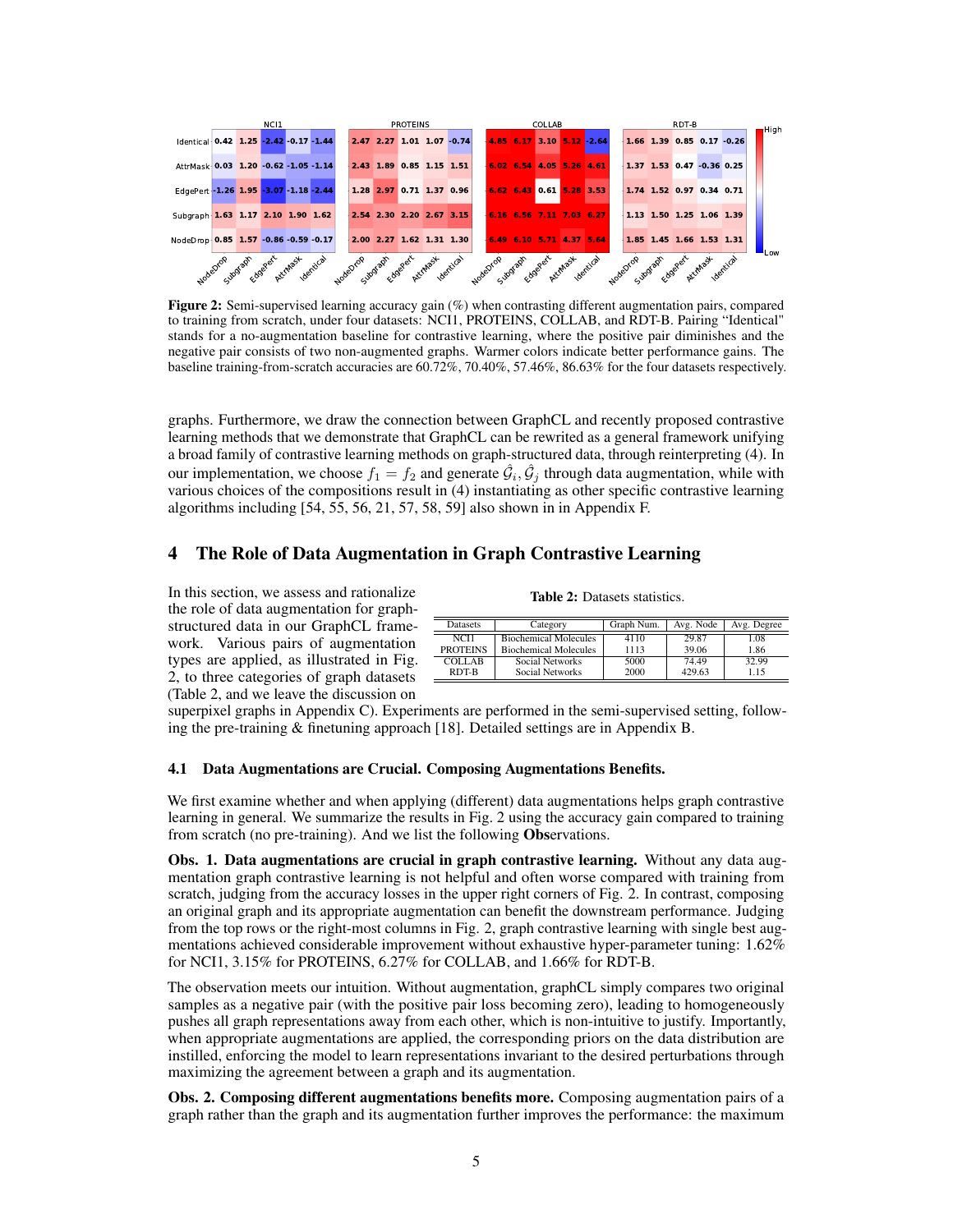<span id="page-4-1"></span>

Figure 2: Semi-supervised learning accuracy gain (%) when contrasting different augmentation pairs, compared to training from scratch, under four datasets: NCI1, PROTEINS, COLLAB, and RDT-B. Pairing "Identical" stands for a no-augmentation baseline for contrastive learning, where the positive pair diminishes and the negative pair consists of two non-augmented graphs. Warmer colors indicate better performance gains. The baseline training-from-scratch accuracies are 60.72%, 70.40%, 57.46%, 86.63% for the four datasets respectively.

graphs. Furthermore, we draw the connection between GraphCL and recently proposed contrastive learning methods that we demonstrate that GraphCL can be rewrited as a general framework unifying a broad family of contrastive learning methods on graph-structured data, through reinterpreting [\(4\)](#page-3-1). In our implementation, we choose  $f_1 = f_2$  and generate  $\hat{G}_i, \hat{G}_j$  through data augmentation, while with various choices of the compositions result in [\(4\)](#page-3-1) instantiating as other specific contrastive learning algorithms including [\[54,](#page-11-3) [55,](#page-11-4) [56,](#page-11-5) [21,](#page-9-17) [57,](#page-11-6) [58,](#page-11-7) [59\]](#page-11-8) also shown in in Appendix F.

## <span id="page-4-0"></span>4 The Role of Data Augmentation in Graph Contrastive Learning

 $\equiv$  $\overline{a}$ 

In this section, we assess and rationalize the role of data augmentation for graphstructured data in our GraphCL framework. Various pairs of augmentation types are applied, as illustrated in Fig. [2,](#page-4-1) to three categories of graph datasets (Table [2,](#page-4-2) and we leave the discussion on

<span id="page-4-2"></span>

| Datasets         | Category                     | Graph Num. | Avg. Node | Avg. Degree |
|------------------|------------------------------|------------|-----------|-------------|
| NCH <sub>1</sub> | <b>Biochemical Molecules</b> | 4110       | 29.87     | 1.08        |
| <b>PROTEINS</b>  | <b>Biochemical Molecules</b> | 1113       | 39.06     | 1.86        |
| <b>COLLAB</b>    | Social Networks              | 5000       | 74.49     | 32.99       |
| RDT-B            | Social Networks              | 2000       | 429.63    | 1.15        |

Table 2: Datasets statistics.

superpixel graphs in Appendix C). Experiments are performed in the semi-supervised setting, following the pre-training & finetuning approach [\[18\]](#page-9-14). Detailed settings are in Appendix B.

#### 4.1 Data Augmentations are Crucial. Composing Augmentations Benefits.

We first examine whether and when applying (different) data augmentations helps graph contrastive learning in general. We summarize the results in Fig. [2](#page-4-1) using the accuracy gain compared to training from scratch (no pre-training). And we list the following Observations.

Obs. 1. Data augmentations are crucial in graph contrastive learning. Without any data augmentation graph contrastive learning is not helpful and often worse compared with training from scratch, judging from the accuracy losses in the upper right corners of Fig. [2.](#page-4-1) In contrast, composing an original graph and its appropriate augmentation can benefit the downstream performance. Judging from the top rows or the right-most columns in Fig. [2,](#page-4-1) graph contrastive learning with single best augmentations achieved considerable improvement without exhaustive hyper-parameter tuning: 1.62% for NCI1, 3.15% for PROTEINS, 6.27% for COLLAB, and 1.66% for RDT-B.

The observation meets our intuition. Without augmentation, graphCL simply compares two original samples as a negative pair (with the positive pair loss becoming zero), leading to homogeneously pushes all graph representations away from each other, which is non-intuitive to justify. Importantly, when appropriate augmentations are applied, the corresponding priors on the data distribution are instilled, enforcing the model to learn representations invariant to the desired perturbations through maximizing the agreement between a graph and its augmentation.

Obs. 2. Composing different augmentations benefits more. Composing augmentation pairs of a graph rather than the graph and its augmentation further improves the performance: the maximum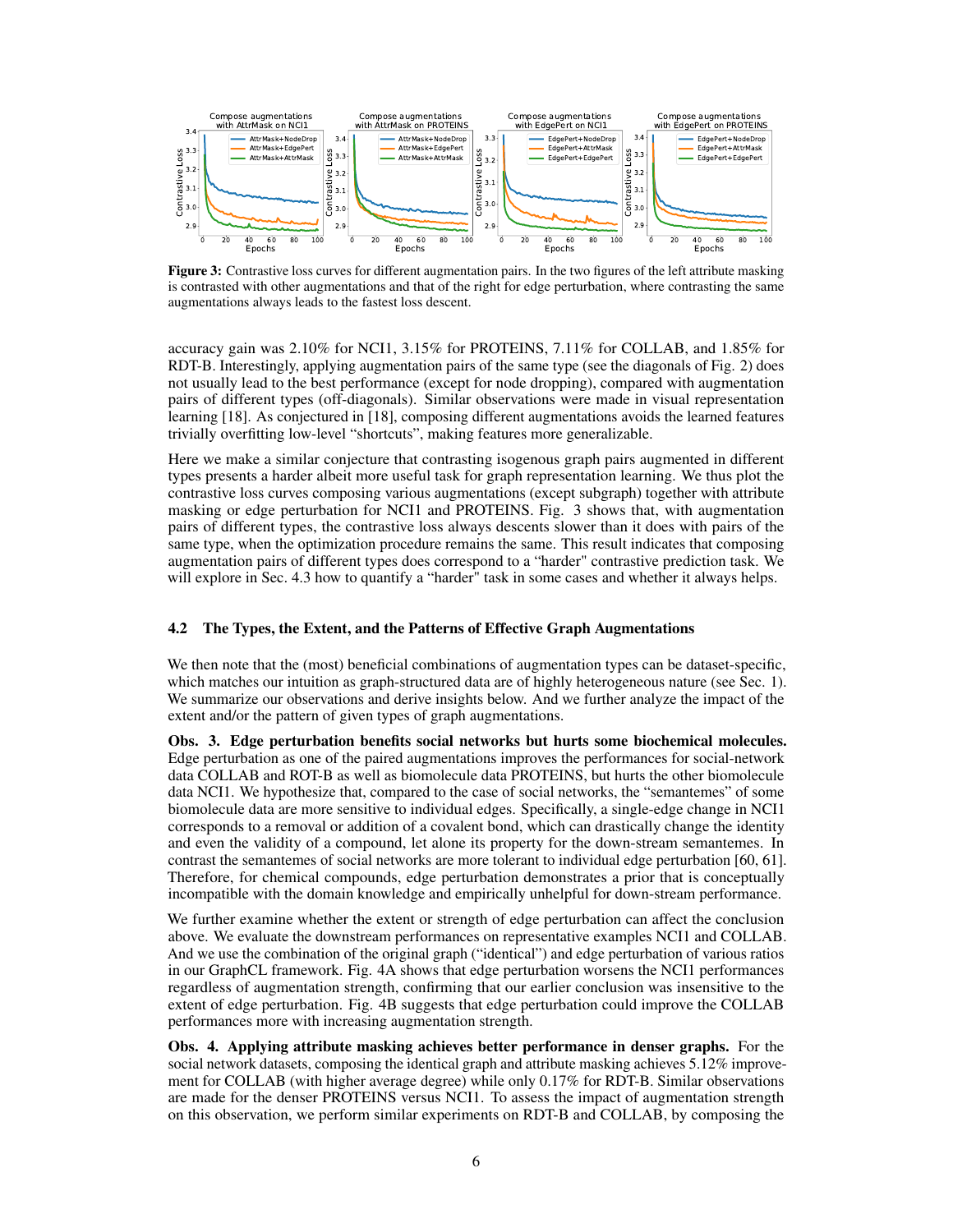<span id="page-5-0"></span>

Figure 3: Contrastive loss curves for different augmentation pairs. In the two figures of the left attribute masking is contrasted with other augmentations and that of the right for edge perturbation, where contrasting the same augmentations always leads to the fastest loss descent.

accuracy gain was 2.10% for NCI1, 3.15% for PROTEINS, 7.11% for COLLAB, and 1.85% for RDT-B. Interestingly, applying augmentation pairs of the same type (see the diagonals of Fig. [2\)](#page-4-1) does not usually lead to the best performance (except for node dropping), compared with augmentation pairs of different types (off-diagonals). Similar observations were made in visual representation learning [\[18\]](#page-9-14). As conjectured in [\[18\]](#page-9-14), composing different augmentations avoids the learned features trivially overfitting low-level "shortcuts", making features more generalizable.

Here we make a similar conjecture that contrasting isogenous graph pairs augmented in different types presents a harder albeit more useful task for graph representation learning. We thus plot the contrastive loss curves composing various augmentations (except subgraph) together with attribute masking or edge perturbation for NCI1 and PROTEINS. Fig. [3](#page-5-0) shows that, with augmentation pairs of different types, the contrastive loss always descents slower than it does with pairs of the same type, when the optimization procedure remains the same. This result indicates that composing augmentation pairs of different types does correspond to a "harder" contrastive prediction task. We will explore in Sec. [4.3](#page-6-0) how to quantify a "harder" task in some cases and whether it always helps.

#### 4.2 The Types, the Extent, and the Patterns of Effective Graph Augmentations

We then note that the (most) beneficial combinations of augmentation types can be dataset-specific, which matches our intuition as graph-structured data are of highly heterogeneous nature (see Sec. [1\)](#page-0-0). We summarize our observations and derive insights below. And we further analyze the impact of the extent and/or the pattern of given types of graph augmentations.

Obs. 3. Edge perturbation benefits social networks but hurts some biochemical molecules. Edge perturbation as one of the paired augmentations improves the performances for social-network data COLLAB and ROT-B as well as biomolecule data PROTEINS, but hurts the other biomolecule data NCI1. We hypothesize that, compared to the case of social networks, the "semantemes" of some biomolecule data are more sensitive to individual edges. Specifically, a single-edge change in NCI1 corresponds to a removal or addition of a covalent bond, which can drastically change the identity and even the validity of a compound, let alone its property for the down-stream semantemes. In contrast the semantemes of social networks are more tolerant to individual edge perturbation [\[60,](#page-11-9) [61\]](#page-11-10). Therefore, for chemical compounds, edge perturbation demonstrates a prior that is conceptually incompatible with the domain knowledge and empirically unhelpful for down-stream performance.

We further examine whether the extent or strength of edge perturbation can affect the conclusion above. We evaluate the downstream performances on representative examples NCI1 and COLLAB. And we use the combination of the original graph ("identical") and edge perturbation of various ratios in our GraphCL framework. Fig. [4A](#page-6-1) shows that edge perturbation worsens the NCI1 performances regardless of augmentation strength, confirming that our earlier conclusion was insensitive to the extent of edge perturbation. Fig. [4B](#page-6-1) suggests that edge perturbation could improve the COLLAB performances more with increasing augmentation strength.

Obs. 4. Applying attribute masking achieves better performance in denser graphs. For the social network datasets, composing the identical graph and attribute masking achieves 5.12% improvement for COLLAB (with higher average degree) while only 0.17% for RDT-B. Similar observations are made for the denser PROTEINS versus NCI1. To assess the impact of augmentation strength on this observation, we perform similar experiments on RDT-B and COLLAB, by composing the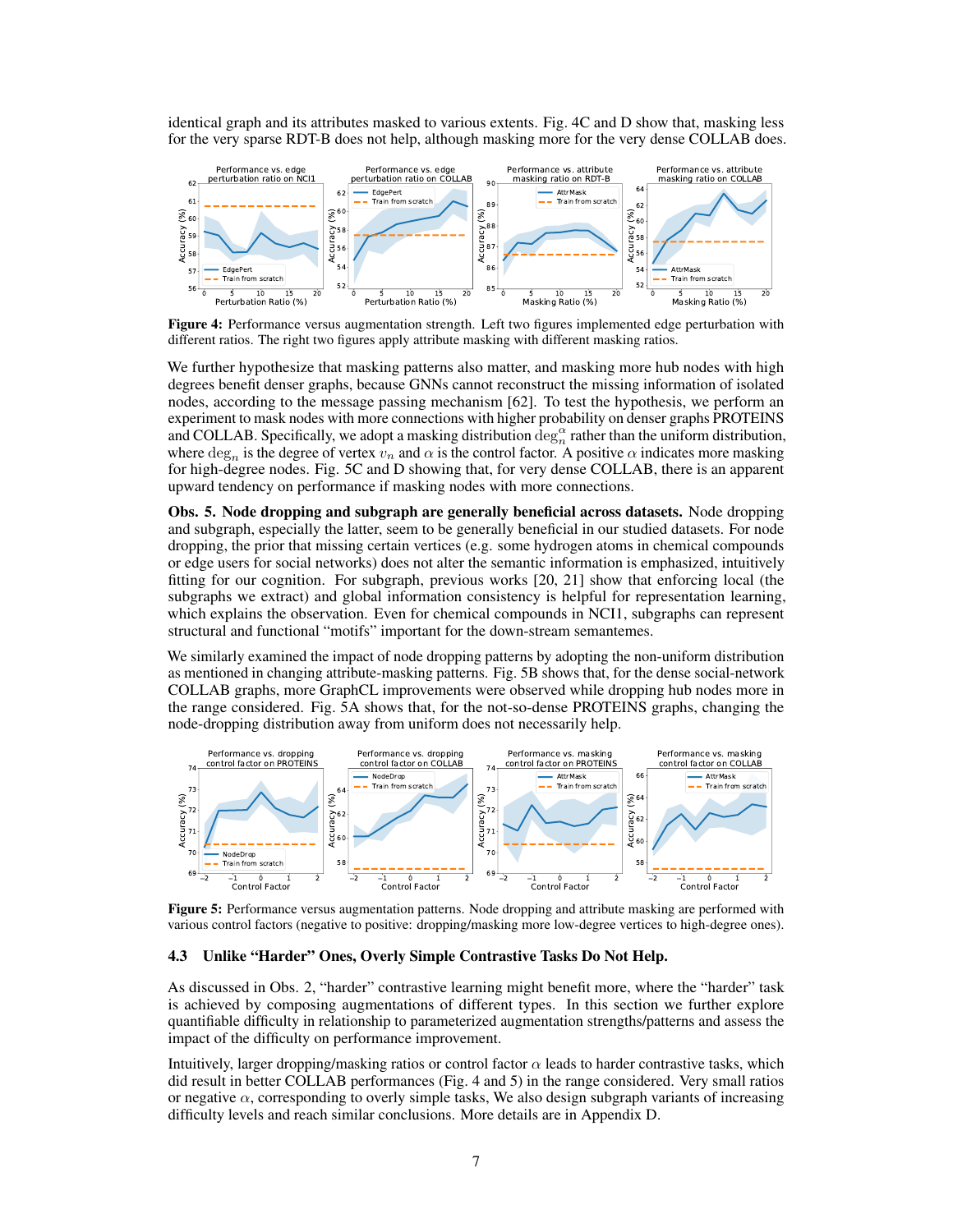identical graph and its attributes masked to various extents. Fig. [4C](#page-6-1) and D show that, masking less for the very sparse RDT-B does not help, although masking more for the very dense COLLAB does.

<span id="page-6-1"></span>

Figure 4: Performance versus augmentation strength. Left two figures implemented edge perturbation with different ratios. The right two figures apply attribute masking with different masking ratios.

We further hypothesize that masking patterns also matter, and masking more hub nodes with high degrees benefit denser graphs, because GNNs cannot reconstruct the missing information of isolated nodes, according to the message passing mechanism [\[62\]](#page-11-11). To test the hypothesis, we perform an experiment to mask nodes with more connections with higher probability on denser graphs PROTEINS and COLLAB. Specifically, we adopt a masking distribution  $\deg_n^{\alpha}$  rather than the uniform distribution, where  $\deg_n$  is the degree of vertex  $v_n$  and  $\alpha$  is the control factor. A positive  $\alpha$  indicates more masking for high-degree nodes. Fig. [5C](#page-6-2) and D showing that, for very dense COLLAB, there is an apparent upward tendency on performance if masking nodes with more connections.

Obs. 5. Node dropping and subgraph are generally beneficial across datasets. Node dropping and subgraph, especially the latter, seem to be generally beneficial in our studied datasets. For node dropping, the prior that missing certain vertices (e.g. some hydrogen atoms in chemical compounds or edge users for social networks) does not alter the semantic information is emphasized, intuitively fitting for our cognition. For subgraph, previous works [\[20,](#page-9-16) [21\]](#page-9-17) show that enforcing local (the subgraphs we extract) and global information consistency is helpful for representation learning, which explains the observation. Even for chemical compounds in NCI1, subgraphs can represent structural and functional "motifs" important for the down-stream semantemes.

We similarly examined the impact of node dropping patterns by adopting the non-uniform distribution as mentioned in changing attribute-masking patterns. Fig. [5B](#page-6-2) shows that, for the dense social-network COLLAB graphs, more GraphCL improvements were observed while dropping hub nodes more in the range considered. Fig. [5A](#page-6-2) shows that, for the not-so-dense PROTEINS graphs, changing the node-dropping distribution away from uniform does not necessarily help.

<span id="page-6-2"></span>

Figure 5: Performance versus augmentation patterns. Node dropping and attribute masking are performed with various control factors (negative to positive: dropping/masking more low-degree vertices to high-degree ones).

#### <span id="page-6-0"></span>4.3 Unlike "Harder" Ones, Overly Simple Contrastive Tasks Do Not Help.

As discussed in Obs. 2, "harder" contrastive learning might benefit more, where the "harder" task is achieved by composing augmentations of different types. In this section we further explore quantifiable difficulty in relationship to parameterized augmentation strengths/patterns and assess the impact of the difficulty on performance improvement.

Intuitively, larger dropping/masking ratios or control factor  $\alpha$  leads to harder contrastive tasks, which did result in better COLLAB performances (Fig. [4](#page-6-1) and [5\)](#page-6-2) in the range considered. Very small ratios or negative  $\alpha$ , corresponding to overly simple tasks, We also design subgraph variants of increasing difficulty levels and reach similar conclusions. More details are in Appendix D.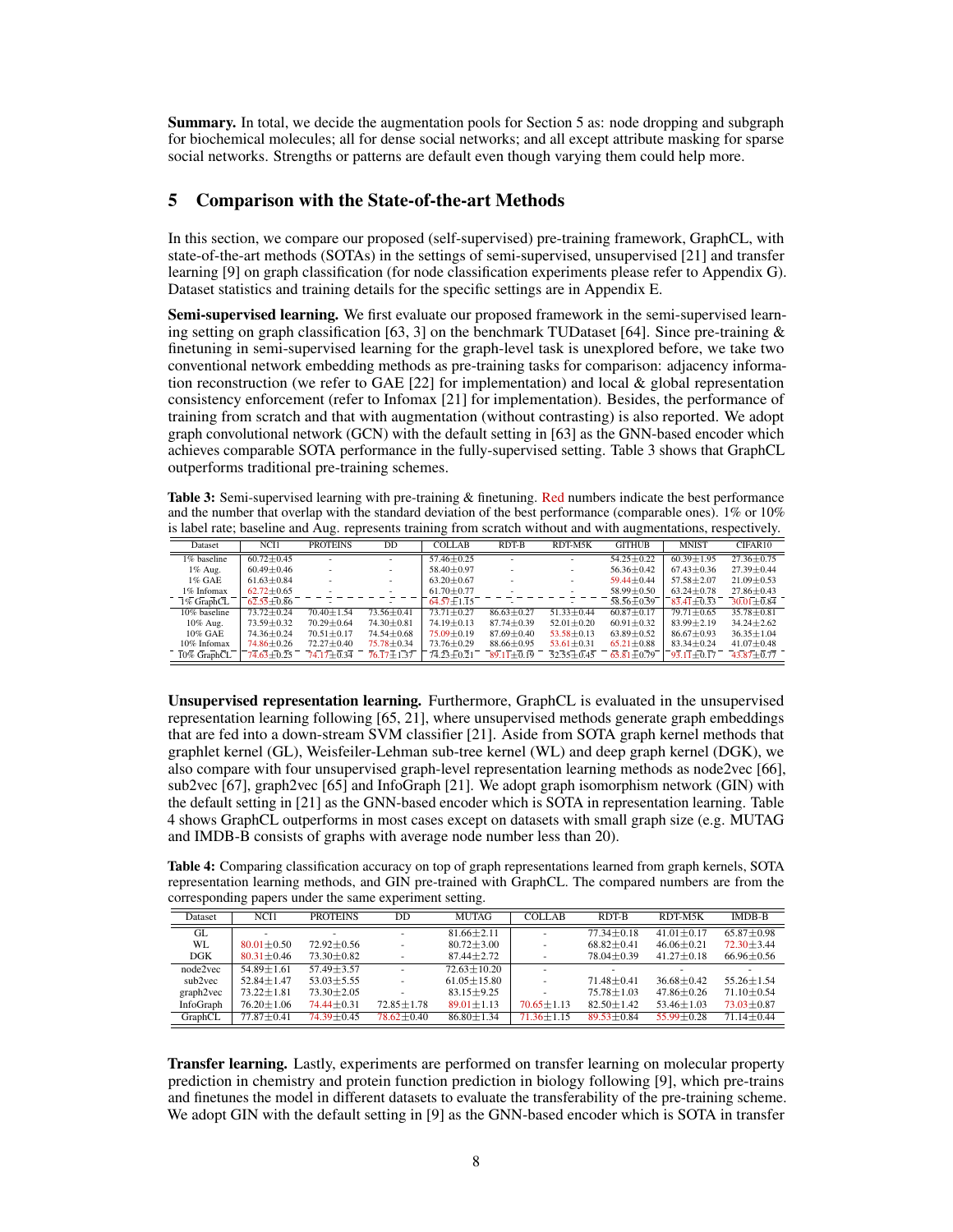Summary. In total, we decide the augmentation pools for Section 5 as: node dropping and subgraph for biochemical molecules; all for dense social networks; and all except attribute masking for sparse social networks. Strengths or patterns are default even though varying them could help more.

## <span id="page-7-0"></span>5 Comparison with the State-of-the-art Methods

In this section, we compare our proposed (self-supervised) pre-training framework, GraphCL, with state-of-the-art methods (SOTAs) in the settings of semi-supervised, unsupervised [\[21\]](#page-9-17) and transfer learning [\[9\]](#page-9-5) on graph classification (for node classification experiments please refer to Appendix G). Dataset statistics and training details for the specific settings are in Appendix E.

Semi-supervised learning. We first evaluate our proposed framework in the semi-supervised learn-ing setting on graph classification [\[63,](#page-11-12) [3\]](#page-8-2) on the benchmark TUD ataset [\[64\]](#page-11-13). Since pre-training  $\&$ finetuning in semi-supervised learning for the graph-level task is unexplored before, we take two conventional network embedding methods as pre-training tasks for comparison: adjacency information reconstruction (we refer to GAE  $[22]$  for implementation) and local & global representation consistency enforcement (refer to Infomax [\[21\]](#page-9-17) for implementation). Besides, the performance of training from scratch and that with augmentation (without contrasting) is also reported. We adopt graph convolutional network (GCN) with the default setting in [\[63\]](#page-11-12) as the GNN-based encoder which achieves comparable SOTA performance in the fully-supervised setting. Table [3](#page-7-1) shows that GraphCL outperforms traditional pre-training schemes.

<span id="page-7-1"></span>Table 3: Semi-supervised learning with pre-training & finetuning. Red numbers indicate the best performance and the number that overlap with the standard deviation of the best performance (comparable ones). 1% or 10% is label rate; baseline and Aug. represents training from scratch without and with augmentations, respectively.

| Dataset        | NCI1             | <b>PROTEINS</b>  | DD                       | <b>COLLAB</b>    | RDT-B            | RDT-M5K          | <b>GITHUB</b>    | <b>MNIST</b>     | CIFAR10          |
|----------------|------------------|------------------|--------------------------|------------------|------------------|------------------|------------------|------------------|------------------|
| 1% baseline    | $60.72 \pm 0.45$ |                  |                          | $57.46 \pm 0.25$ |                  |                  | $54.25 \pm 0.22$ | $60.39 \pm 1.95$ | $27.36 \pm 0.75$ |
| $1\%$ Aug.     | $60.49 \pm 0.46$ |                  |                          | $58.40 \pm 0.97$ |                  |                  | $56.36 \pm 0.42$ | $67.43 \pm 0.36$ | $27.39 \pm 0.44$ |
| $1\%$ GAE      | $61.63 \pm 0.84$ |                  |                          | $63.20 \pm 0.67$ |                  |                  | $59.44 \pm 0.44$ | $57.58 \pm 2.07$ | $21.09 \pm 0.53$ |
| 1% Infomax     | $62.72 \pm 0.65$ |                  | $\sim$                   | $61.70 \pm 0.77$ |                  |                  | $58.99 \pm 0.50$ | $63.24 \pm 0.78$ | $27.86 \pm 0.43$ |
| $1\%$ GraphCL  | $62.55 + 0.86$   |                  | $\overline{\phantom{0}}$ | $64.57 \pm 1.15$ |                  |                  | $58.56 \pm 0.59$ | $83.41 \pm 0.33$ | $30.01 + 0.84$   |
| 10% baseline   | $73.72 \pm 0.24$ | $70.40 \pm 1.54$ | $73.56 \pm 0.41$         | $73.71 \pm 0.27$ | $86.63 \pm 0.27$ | $51.33 \pm 0.44$ | $60.87 + 0.17$   | $79.71 \pm 0.65$ | $35.78 \pm 0.81$ |
| 10% Aug.       | $73.59 \pm 0.32$ | $70.29 \pm 0.64$ | $74.30 \pm 0.81$         | $74.19 \pm 0.13$ | $87.74 \pm 0.39$ | $52.01 \pm 0.20$ | $60.91 \pm 0.32$ | $83.99 \pm 2.19$ | $34.24 \pm 2.62$ |
| 10% GAE        | $74.36 \pm 0.24$ | $70.51 \pm 0.17$ | $74.54 \pm 0.68$         | $75.09 \pm 0.19$ | $87.69 \pm 0.40$ | $53.58 \pm 0.13$ | $63.89 \pm 0.52$ | $86.67 \pm 0.93$ | $36.35 \pm 1.04$ |
| 10% Infomax    | $74.86 \pm 0.26$ | $72.27 \pm 0.40$ | 75.78 ± 0.34             | $73.76 \pm 0.29$ | $88.66 \pm 0.95$ | $53.61 \pm 0.31$ | $65.21 \pm 0.88$ | $83.34 \pm 0.24$ | $41.07 \pm 0.48$ |
| $10\%$ GraphCL | $74.63 \pm 0.25$ | $74.17 \pm 0.34$ | $\sqrt{76.17 \pm 1.37}$  | $74.23 \pm 0.21$ | $89.11 \pm 0.19$ | $52.55 \pm 0.45$ | $65.81 \pm 0.79$ | $93.11 \pm 0.17$ | $43.87 + 0.77$   |

Unsupervised representation learning. Furthermore, GraphCL is evaluated in the unsupervised representation learning following [\[65,](#page-11-14) [21\]](#page-9-17), where unsupervised methods generate graph embeddings that are fed into a down-stream SVM classifier [\[21\]](#page-9-17). Aside from SOTA graph kernel methods that graphlet kernel (GL), Weisfeiler-Lehman sub-tree kernel (WL) and deep graph kernel (DGK), we also compare with four unsupervised graph-level representation learning methods as node2vec [\[66\]](#page-11-15), sub2vec [\[67\]](#page-11-16), graph2vec [\[65\]](#page-11-14) and InfoGraph [\[21\]](#page-9-17). We adopt graph isomorphism network (GIN) with the default setting in [\[21\]](#page-9-17) as the GNN-based encoder which is SOTA in representation learning. Table [4](#page-7-2) shows GraphCL outperforms in most cases except on datasets with small graph size (e.g. MUTAG and IMDB-B consists of graphs with average node number less than 20).

<span id="page-7-2"></span>Table 4: Comparing classification accuracy on top of graph representations learned from graph kernels, SOTA representation learning methods, and GIN pre-trained with GraphCL. The compared numbers are from the corresponding papers under the same experiment setting.

| Dataset   | NCI1             | <b>PROTEINS</b>          | DD                       | <b>MUTAG</b>      | <b>COLLAB</b>    | RDT-B            | RDT-M5K          | <b>IMDB-B</b>    |
|-----------|------------------|--------------------------|--------------------------|-------------------|------------------|------------------|------------------|------------------|
| GL        |                  | $\overline{\phantom{a}}$ | $\sim$                   | $81.66 \pm 2.11$  |                  | $77.34 \pm 0.18$ | $41.01 \pm 0.17$ | $65.87 + 0.98$   |
| WL        | $80.01 + 0.50$   | $72.92 + 0.56$           | $\overline{\phantom{a}}$ | $80.72 + 3.00$    |                  | $68.82 + 0.41$   | $46.06 + 0.21$   | $72.30 + 3.44$   |
| DGK       | $80.31 \pm 0.46$ | $73.30 \pm 0.82$         |                          | $87.44 \pm 2.72$  |                  | $78.04 \pm 0.39$ | $41.27 \pm 0.18$ | $66.96 \pm 0.56$ |
| node2vec  | $54.89 + 1.61$   | $57.49 + 3.57$           |                          | $72.63 + 10.20$   |                  |                  |                  |                  |
| sub2vec   | $52.84 \pm 1.47$ | $53.03 \pm 5.55$         | ٠                        | $61.05 \pm 15.80$ |                  | $71.48 + 0.41$   | $36.68 \pm 0.42$ | $55.26 \pm 1.54$ |
| graph2vec | $73.22 \pm 1.81$ | $73.30 \pm 2.05$         |                          | $83.15 \pm 9.25$  |                  | $75.78 \pm 1.03$ | $47.86 \pm 0.26$ | $71.10 + 0.54$   |
| InfoGraph | $76.20 \pm 1.06$ | $74.44 \pm 0.31$         | $72.85 \pm 1.78$         | $89.01 \pm 1.13$  | $70.65 \pm 1.13$ | $82.50 \pm 1.42$ | $53.46 \pm 1.03$ | $73.03 \pm 0.87$ |
| GraphCL   | $77.87 \pm 0.41$ | $74.39 \pm 0.45$         | $78.62 \pm 0.40$         | $86.80 \pm 1.34$  | $71.36 \pm 1.15$ | $89.53 + 0.84$   | $55.99 \pm 0.28$ | $71.14 \pm 0.44$ |

**Transfer learning.** Lastly, experiments are performed on transfer learning on molecular property prediction in chemistry and protein function prediction in biology following [\[9\]](#page-9-5), which pre-trains and finetunes the model in different datasets to evaluate the transferability of the pre-training scheme. We adopt GIN with the default setting in [\[9\]](#page-9-5) as the GNN-based encoder which is SOTA in transfer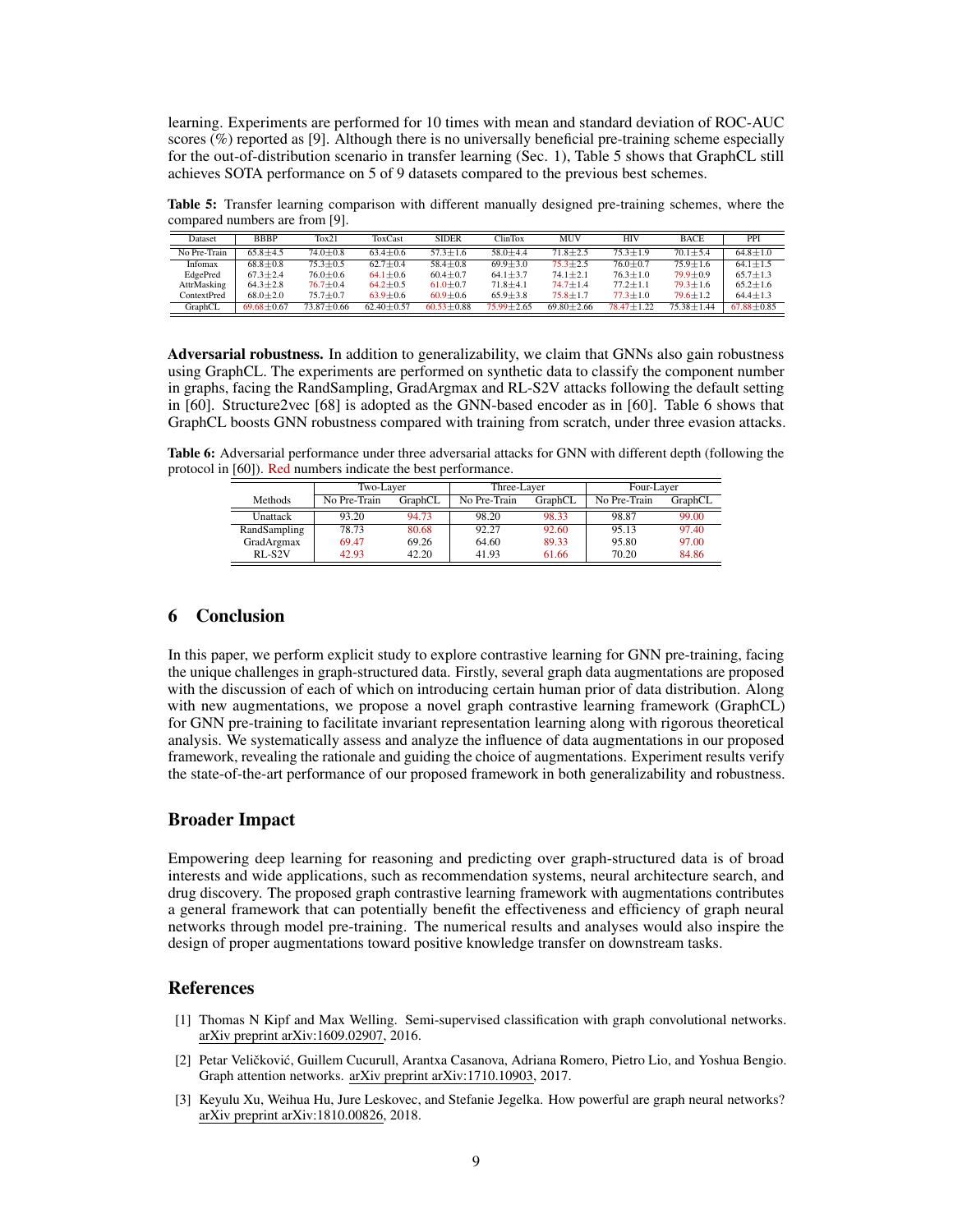learning. Experiments are performed for 10 times with mean and standard deviation of ROC-AUC scores (%) reported as [\[9\]](#page-9-5). Although there is no universally beneficial pre-training scheme especially for the out-of-distribution scenario in transfer learning (Sec. [1\)](#page-0-0), Table [5](#page-8-3) shows that GraphCL still achieves SOTA performance on 5 of 9 datasets compared to the previous best schemes.

<span id="page-8-3"></span>Table 5: Transfer learning comparison with different manually designed pre-training schemes, where the compared numbers are from [\[9\]](#page-9-5).

| Dataset      | <b>BBBP</b>      | Tox21            | ToxCast          | <b>SIDER</b>     | <b>ClinTox</b> | <b>MUV</b>     | <b>HIV</b>       | <b>BACE</b>      | PPI            |
|--------------|------------------|------------------|------------------|------------------|----------------|----------------|------------------|------------------|----------------|
| No Pre-Train | $65.8 + 4.5$     | $74.0 + 0.8$     | $63.4 \pm 0.6$   | $57.3 \pm 1.6$   | $58.0 + 4.4$   | $71.8 \pm 2.5$ | $75.3 \pm 1.9$   | $70.1 + 5.4$     | $64.8 + 1.0$   |
| Infomax      | $68.8 + 0.8$     | $75.3 \pm 0.5$   | $62.7 \pm 0.4$   | $58.4 \pm 0.8$   | $69.9 + 3.0$   | $75.3 \pm 2.5$ | $76.0 + 0.7$     | $75.9 + 1.6$     | $64.1 + 1.5$   |
| EdgePred     | $67.3 \pm 2.4$   | $76.0 \pm 0.6$   | $64.1 \pm 0.6$   | $60.4 \pm 0.7$   | $64.1 \pm 3.7$ | $74.1 \pm 2.1$ | $76.3 \pm 1.0$   | $79.9 \pm 0.9$   | $65.7 \pm 1.3$ |
| AttrMasking  | $64.3 \pm 2.8$   | $76.7 \pm 0.4$   | $64.2 \pm 0.5$   | $61.0 \pm 0.7$   | $71.8 + 4.1$   | $74.7 + 1.4$   | $77.2 \pm 1.1$   | $79.3 \pm 1.6$   | $65.2 + 1.6$   |
| ContextPred  | $68.0 \pm 2.0$   | $75.7 \pm 0.7$   | $63.9 \pm 0.6$   | $60.9 \pm 0.6$   | $65.9 \pm 3.8$ | $75.8 \pm 1.7$ | $77.3 \pm 1.0$   | $79.6 \pm 1.2$   | $64.4 \pm 1.3$ |
| GraphCL      | $69.68 \pm 0.67$ | $73.87 \pm 0.66$ | $62.40 \pm 0.57$ | $60.53 \pm 0.88$ | $75.99 + 2.65$ | $69.80 + 2.66$ | $78.47 \pm 1.22$ | $75.38 \pm 1.44$ | $67.88 + 0.85$ |

Adversarial robustness. In addition to generalizability, we claim that GNNs also gain robustness using GraphCL. The experiments are performed on synthetic data to classify the component number in graphs, facing the RandSampling, GradArgmax and RL-S2V attacks following the default setting in [\[60\]](#page-11-9). Structure2vec [\[68\]](#page-11-17) is adopted as the GNN-based encoder as in [\[60\]](#page-11-9). Table [6](#page-8-4) shows that GraphCL boosts GNN robustness compared with training from scratch, under three evasion attacks.

<span id="page-8-4"></span>Table 6: Adversarial performance under three adversarial attacks for GNN with different depth (following the protocol in [\[60\]](#page-11-9)). Red numbers indicate the best performance.

|                | Two-Layer               |       | Three-Layer             |       | Four-Layer   |         |  |
|----------------|-------------------------|-------|-------------------------|-------|--------------|---------|--|
| <b>Methods</b> | No Pre-Train<br>GraphCL |       | No Pre-Train<br>GraphCL |       | No Pre-Train | GraphCL |  |
| Unattack       | 93.20                   | 94.73 | 98.20                   | 98.33 | 98.87        | 99.00   |  |
| RandSampling   | 78.73                   | 80.68 | 92.27                   | 92.60 | 95.13        | 97.40   |  |
| GradArgmax     | 69.47                   | 69.26 | 64.60                   | 89.33 | 95.80        | 97.00   |  |
| $R$ L-S2V      | 42.93                   | 42.20 | 41.93                   | 61.66 | 70.20        | 84.86   |  |

# 6 Conclusion

In this paper, we perform explicit study to explore contrastive learning for GNN pre-training, facing the unique challenges in graph-structured data. Firstly, several graph data augmentations are proposed with the discussion of each of which on introducing certain human prior of data distribution. Along with new augmentations, we propose a novel graph contrastive learning framework (GraphCL) for GNN pre-training to facilitate invariant representation learning along with rigorous theoretical analysis. We systematically assess and analyze the influence of data augmentations in our proposed framework, revealing the rationale and guiding the choice of augmentations. Experiment results verify the state-of-the-art performance of our proposed framework in both generalizability and robustness.

## Broader Impact

Empowering deep learning for reasoning and predicting over graph-structured data is of broad interests and wide applications, such as recommendation systems, neural architecture search, and drug discovery. The proposed graph contrastive learning framework with augmentations contributes a general framework that can potentially benefit the effectiveness and efficiency of graph neural networks through model pre-training. The numerical results and analyses would also inspire the design of proper augmentations toward positive knowledge transfer on downstream tasks.

### References

- <span id="page-8-0"></span>[1] Thomas N Kipf and Max Welling. Semi-supervised classification with graph convolutional networks. arXiv preprint arXiv:1609.02907, 2016.
- <span id="page-8-1"></span>[2] Petar Veličković, Guillem Cucurull, Arantxa Casanova, Adriana Romero, Pietro Lio, and Yoshua Bengio. Graph attention networks. arXiv preprint arXiv:1710.10903, 2017.
- <span id="page-8-2"></span>[3] Keyulu Xu, Weihua Hu, Jure Leskovec, and Stefanie Jegelka. How powerful are graph neural networks? arXiv preprint arXiv:1810.00826, 2018.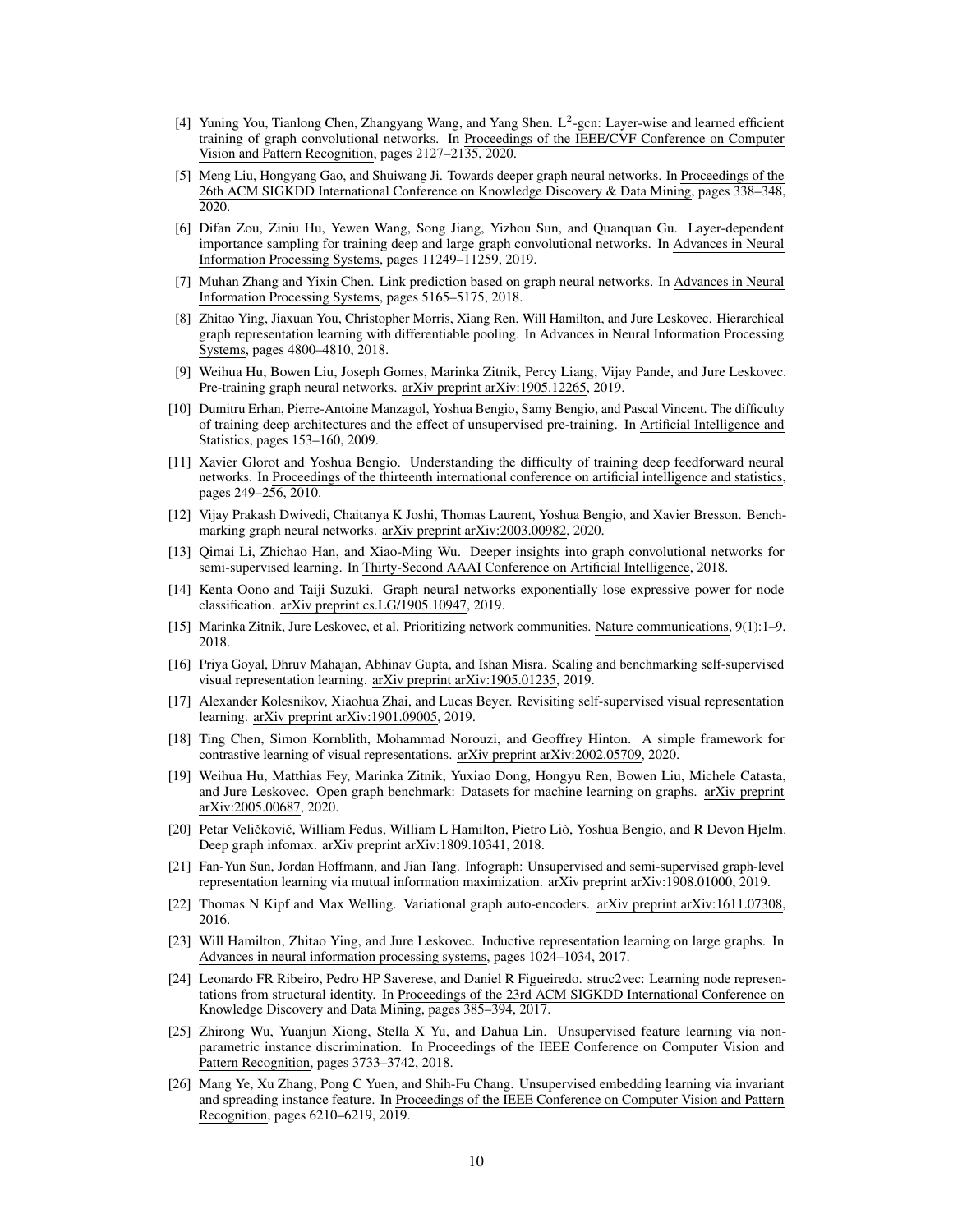- <span id="page-9-0"></span>[4] Yuning You, Tianlong Chen, Zhangyang Wang, and Yang Shen. L<sup>2</sup>-gcn: Layer-wise and learned efficient training of graph convolutional networks. In Proceedings of the IEEE/CVF Conference on Computer Vision and Pattern Recognition, pages 2127–2135, 2020.
- <span id="page-9-1"></span>[5] Meng Liu, Hongyang Gao, and Shuiwang Ji. Towards deeper graph neural networks. In Proceedings of the 26th ACM SIGKDD International Conference on Knowledge Discovery & Data Mining, pages 338–348, 2020.
- <span id="page-9-2"></span>[6] Difan Zou, Ziniu Hu, Yewen Wang, Song Jiang, Yizhou Sun, and Quanquan Gu. Layer-dependent importance sampling for training deep and large graph convolutional networks. In Advances in Neural Information Processing Systems, pages 11249–11259, 2019.
- <span id="page-9-3"></span>[7] Muhan Zhang and Yixin Chen. Link prediction based on graph neural networks. In Advances in Neural Information Processing Systems, pages 5165–5175, 2018.
- <span id="page-9-4"></span>[8] Zhitao Ying, Jiaxuan You, Christopher Morris, Xiang Ren, Will Hamilton, and Jure Leskovec. Hierarchical graph representation learning with differentiable pooling. In Advances in Neural Information Processing Systems, pages 4800–4810, 2018.
- <span id="page-9-5"></span>[9] Weihua Hu, Bowen Liu, Joseph Gomes, Marinka Zitnik, Percy Liang, Vijay Pande, and Jure Leskovec. Pre-training graph neural networks. arXiv preprint arXiv:1905.12265, 2019.
- <span id="page-9-6"></span>[10] Dumitru Erhan, Pierre-Antoine Manzagol, Yoshua Bengio, Samy Bengio, and Pascal Vincent. The difficulty of training deep architectures and the effect of unsupervised pre-training. In Artificial Intelligence and Statistics, pages 153–160, 2009.
- <span id="page-9-7"></span>[11] Xavier Glorot and Yoshua Bengio. Understanding the difficulty of training deep feedforward neural networks. In Proceedings of the thirteenth international conference on artificial intelligence and statistics, pages 249–256, 2010.
- <span id="page-9-8"></span>[12] Vijay Prakash Dwivedi, Chaitanya K Joshi, Thomas Laurent, Yoshua Bengio, and Xavier Bresson. Benchmarking graph neural networks. arXiv preprint arXiv:2003.00982, 2020.
- <span id="page-9-9"></span>[13] Qimai Li, Zhichao Han, and Xiao-Ming Wu. Deeper insights into graph convolutional networks for semi-supervised learning. In Thirty-Second AAAI Conference on Artificial Intelligence, 2018.
- <span id="page-9-10"></span>[14] Kenta Oono and Taiji Suzuki. Graph neural networks exponentially lose expressive power for node classification. arXiv preprint cs.LG/1905.10947, 2019.
- <span id="page-9-11"></span>[15] Marinka Zitnik, Jure Leskovec, et al. Prioritizing network communities. Nature communications, 9(1):1–9, 2018.
- <span id="page-9-12"></span>[16] Priya Goyal, Dhruv Mahajan, Abhinav Gupta, and Ishan Misra. Scaling and benchmarking self-supervised visual representation learning. arXiv preprint arXiv:1905.01235, 2019.
- <span id="page-9-13"></span>[17] Alexander Kolesnikov, Xiaohua Zhai, and Lucas Beyer. Revisiting self-supervised visual representation learning. arXiv preprint arXiv:1901.09005, 2019.
- <span id="page-9-14"></span>[18] Ting Chen, Simon Kornblith, Mohammad Norouzi, and Geoffrey Hinton. A simple framework for contrastive learning of visual representations. arXiv preprint arXiv:2002.05709, 2020.
- <span id="page-9-15"></span>[19] Weihua Hu, Matthias Fey, Marinka Zitnik, Yuxiao Dong, Hongyu Ren, Bowen Liu, Michele Catasta, and Jure Leskovec. Open graph benchmark: Datasets for machine learning on graphs. arXiv preprint arXiv:2005.00687, 2020.
- <span id="page-9-16"></span>[20] Petar Veličković, William Fedus, William L Hamilton, Pietro Liò, Yoshua Bengio, and R Devon Hjelm. Deep graph infomax. arXiv preprint arXiv:1809.10341, 2018.
- <span id="page-9-17"></span>[21] Fan-Yun Sun, Jordan Hoffmann, and Jian Tang. Infograph: Unsupervised and semi-supervised graph-level representation learning via mutual information maximization. arXiv preprint arXiv:1908.01000, 2019.
- <span id="page-9-18"></span>[22] Thomas N Kipf and Max Welling. Variational graph auto-encoders. arXiv preprint arXiv:1611.07308, 2016.
- <span id="page-9-19"></span>[23] Will Hamilton, Zhitao Ying, and Jure Leskovec. Inductive representation learning on large graphs. In Advances in neural information processing systems, pages 1024–1034, 2017.
- <span id="page-9-20"></span>[24] Leonardo FR Ribeiro, Pedro HP Saverese, and Daniel R Figueiredo. struc2vec: Learning node representations from structural identity. In Proceedings of the 23rd ACM SIGKDD International Conference on Knowledge Discovery and Data Mining, pages 385–394, 2017.
- <span id="page-9-21"></span>[25] Zhirong Wu, Yuanjun Xiong, Stella X Yu, and Dahua Lin. Unsupervised feature learning via nonparametric instance discrimination. In Proceedings of the IEEE Conference on Computer Vision and Pattern Recognition, pages 3733–3742, 2018.
- <span id="page-9-22"></span>[26] Mang Ye, Xu Zhang, Pong C Yuen, and Shih-Fu Chang. Unsupervised embedding learning via invariant and spreading instance feature. In Proceedings of the IEEE Conference on Computer Vision and Pattern Recognition, pages 6210–6219, 2019.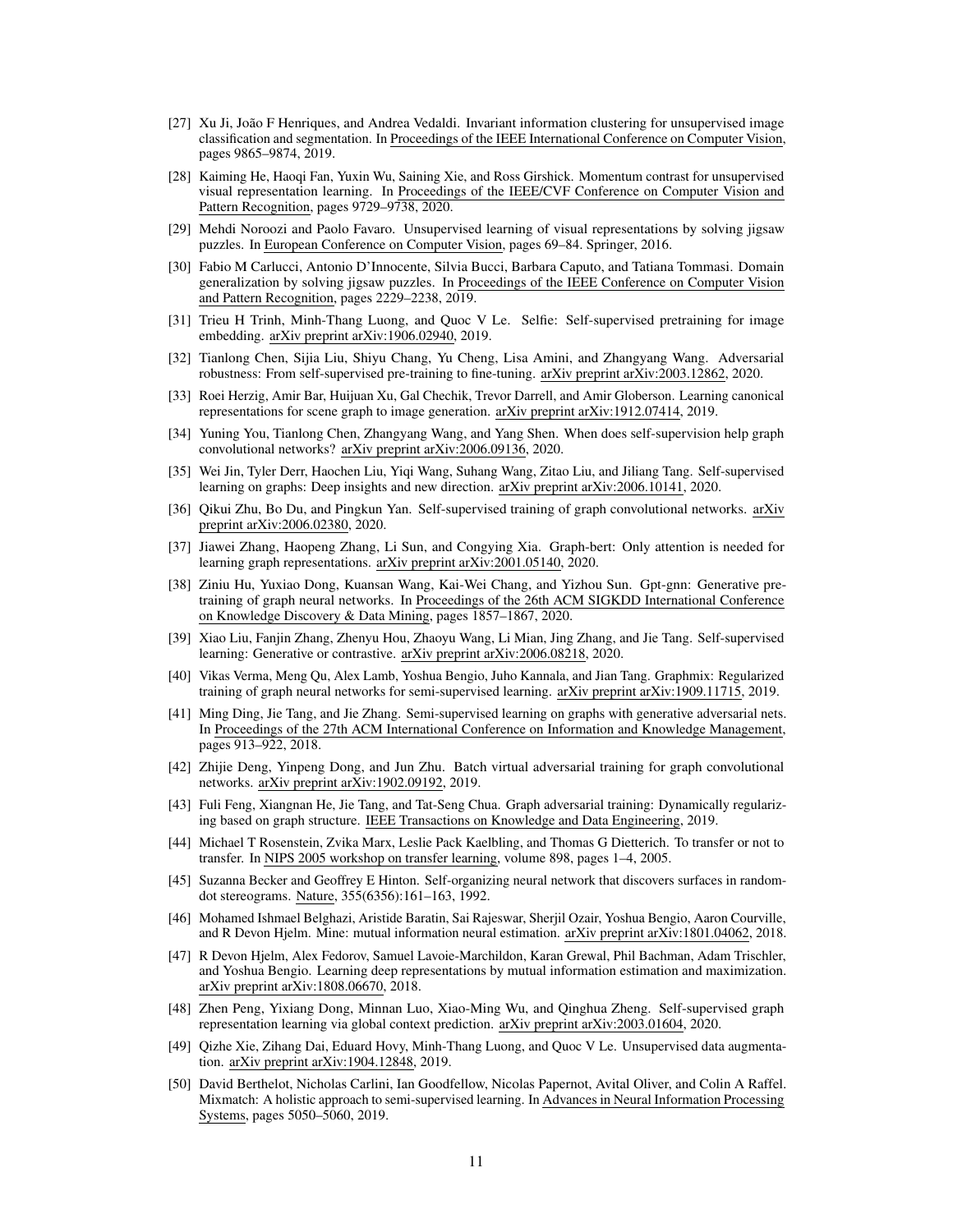- <span id="page-10-0"></span>[27] Xu Ji, João F Henriques, and Andrea Vedaldi. Invariant information clustering for unsupervised image classification and segmentation. In Proceedings of the IEEE International Conference on Computer Vision, pages 9865–9874, 2019.
- <span id="page-10-1"></span>[28] Kaiming He, Haoqi Fan, Yuxin Wu, Saining Xie, and Ross Girshick. Momentum contrast for unsupervised visual representation learning. In Proceedings of the IEEE/CVF Conference on Computer Vision and Pattern Recognition, pages 9729–9738, 2020.
- <span id="page-10-2"></span>[29] Mehdi Noroozi and Paolo Favaro. Unsupervised learning of visual representations by solving jigsaw puzzles. In European Conference on Computer Vision, pages 69–84. Springer, 2016.
- <span id="page-10-3"></span>[30] Fabio M Carlucci, Antonio D'Innocente, Silvia Bucci, Barbara Caputo, and Tatiana Tommasi. Domain generalization by solving jigsaw puzzles. In Proceedings of the IEEE Conference on Computer Vision and Pattern Recognition, pages 2229–2238, 2019.
- <span id="page-10-4"></span>[31] Trieu H Trinh, Minh-Thang Luong, and Quoc V Le. Selfie: Self-supervised pretraining for image embedding. arXiv preprint arXiv:1906.02940, 2019.
- <span id="page-10-5"></span>[32] Tianlong Chen, Sijia Liu, Shiyu Chang, Yu Cheng, Lisa Amini, and Zhangyang Wang. Adversarial robustness: From self-supervised pre-training to fine-tuning. arXiv preprint arXiv:2003.12862, 2020.
- <span id="page-10-6"></span>[33] Roei Herzig, Amir Bar, Huijuan Xu, Gal Chechik, Trevor Darrell, and Amir Globerson. Learning canonical representations for scene graph to image generation. arXiv preprint arXiv:1912.07414, 2019.
- <span id="page-10-7"></span>[34] Yuning You, Tianlong Chen, Zhangyang Wang, and Yang Shen. When does self-supervision help graph convolutional networks? arXiv preprint arXiv:2006.09136, 2020.
- <span id="page-10-8"></span>[35] Wei Jin, Tyler Derr, Haochen Liu, Yiqi Wang, Suhang Wang, Zitao Liu, and Jiliang Tang. Self-supervised learning on graphs: Deep insights and new direction. arXiv preprint arXiv:2006.10141, 2020.
- <span id="page-10-9"></span>[36] Qikui Zhu, Bo Du, and Pingkun Yan. Self-supervised training of graph convolutional networks. arXiv preprint arXiv:2006.02380, 2020.
- <span id="page-10-10"></span>[37] Jiawei Zhang, Haopeng Zhang, Li Sun, and Congying Xia. Graph-bert: Only attention is needed for learning graph representations. arXiv preprint arXiv:2001.05140, 2020.
- <span id="page-10-11"></span>[38] Ziniu Hu, Yuxiao Dong, Kuansan Wang, Kai-Wei Chang, and Yizhou Sun. Gpt-gnn: Generative pretraining of graph neural networks. In Proceedings of the 26th ACM SIGKDD International Conference on Knowledge Discovery & Data Mining, pages 1857–1867, 2020.
- <span id="page-10-12"></span>[39] Xiao Liu, Fanjin Zhang, Zhenyu Hou, Zhaoyu Wang, Li Mian, Jing Zhang, and Jie Tang. Self-supervised learning: Generative or contrastive. arXiv preprint arXiv:2006.08218, 2020.
- <span id="page-10-13"></span>[40] Vikas Verma, Meng Qu, Alex Lamb, Yoshua Bengio, Juho Kannala, and Jian Tang. Graphmix: Regularized training of graph neural networks for semi-supervised learning. arXiv preprint arXiv:1909.11715, 2019.
- <span id="page-10-14"></span>[41] Ming Ding, Jie Tang, and Jie Zhang. Semi-supervised learning on graphs with generative adversarial nets. In Proceedings of the 27th ACM International Conference on Information and Knowledge Management, pages 913–922, 2018.
- <span id="page-10-15"></span>[42] Zhijie Deng, Yinpeng Dong, and Jun Zhu. Batch virtual adversarial training for graph convolutional networks. arXiv preprint arXiv:1902.09192, 2019.
- <span id="page-10-16"></span>[43] Fuli Feng, Xiangnan He, Jie Tang, and Tat-Seng Chua. Graph adversarial training: Dynamically regularizing based on graph structure. IEEE Transactions on Knowledge and Data Engineering, 2019.
- <span id="page-10-17"></span>[44] Michael T Rosenstein, Zvika Marx, Leslie Pack Kaelbling, and Thomas G Dietterich. To transfer or not to transfer. In NIPS 2005 workshop on transfer learning, volume 898, pages 1–4, 2005.
- <span id="page-10-18"></span>[45] Suzanna Becker and Geoffrey E Hinton. Self-organizing neural network that discovers surfaces in randomdot stereograms. Nature, 355(6356):161–163, 1992.
- <span id="page-10-19"></span>[46] Mohamed Ishmael Belghazi, Aristide Baratin, Sai Rajeswar, Sherjil Ozair, Yoshua Bengio, Aaron Courville, and R Devon Hjelm. Mine: mutual information neural estimation. arXiv preprint arXiv:1801.04062, 2018.
- <span id="page-10-20"></span>[47] R Devon Hjelm, Alex Fedorov, Samuel Lavoie-Marchildon, Karan Grewal, Phil Bachman, Adam Trischler, and Yoshua Bengio. Learning deep representations by mutual information estimation and maximization. arXiv preprint arXiv:1808.06670, 2018.
- <span id="page-10-21"></span>[48] Zhen Peng, Yixiang Dong, Minnan Luo, Xiao-Ming Wu, and Qinghua Zheng. Self-supervised graph representation learning via global context prediction. arXiv preprint arXiv:2003.01604, 2020.
- <span id="page-10-22"></span>[49] Qizhe Xie, Zihang Dai, Eduard Hovy, Minh-Thang Luong, and Quoc V Le. Unsupervised data augmentation. arXiv preprint arXiv:1904.12848, 2019.
- <span id="page-10-23"></span>[50] David Berthelot, Nicholas Carlini, Ian Goodfellow, Nicolas Papernot, Avital Oliver, and Colin A Raffel. Mixmatch: A holistic approach to semi-supervised learning. In Advances in Neural Information Processing Systems, pages 5050–5060, 2019.